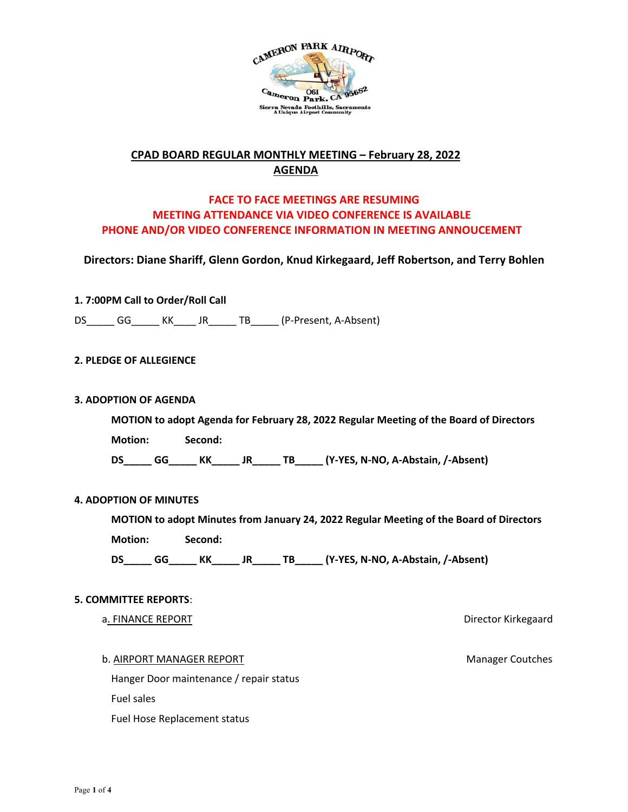

# **CPAD BOARD REGULAR MONTHLY MEETING – February 28, 2022 AGENDA**

# **FACE TO FACE MEETINGS ARE RESUMING MEETING ATTENDANCE VIA VIDEO CONFERENCE IS AVAILABLE PHONE AND/OR VIDEO CONFERENCE INFORMATION IN MEETING ANNOUCEMENT**

**Directors: Diane Shariff, Glenn Gordon, Knud Kirkegaard, Jeff Robertson, and Terry Bohlen**

## **1. 7:00PM Call to Order/Roll Call**

DS\_\_\_\_\_\_ GG\_\_\_\_\_\_ KK\_\_\_\_\_ JR\_\_\_\_\_ TB\_\_\_\_\_\_ (P-Present, A-Absent)

### **2. PLEDGE OF ALLEGIENCE**

### **3. ADOPTION OF AGENDA**

**MOTION to adopt Agenda for February 28, 2022 Regular Meeting of the Board of Directors** 

**Motion: Second:** 

**DS\_\_\_\_\_ GG\_\_\_\_\_ KK\_\_\_\_\_ JR\_\_\_\_\_ TB\_\_\_\_\_ (Y-YES, N-NO, A-Abstain, /-Absent)** 

#### **4. ADOPTION OF MINUTES**

**MOTION to adopt Minutes from January 24, 2022 Regular Meeting of the Board of Directors** 

**Motion: Second:** 

DS<sub>GG</sub> KK JR TB (Y-YES, N-NO, A-Abstain, /-Absent)

### **5. COMMITTEE REPORTS**:

a. FINANCE REPORT **EXECUTE:** The state of the state of the state of the state of the state of the state of the state of the state of the state of the state of the state of the state of the state of the state of the state o

b. AIRPORT MANAGER REPORT MANAGER REPORT

Hanger Door maintenance / repair status Fuel sales Fuel Hose Replacement status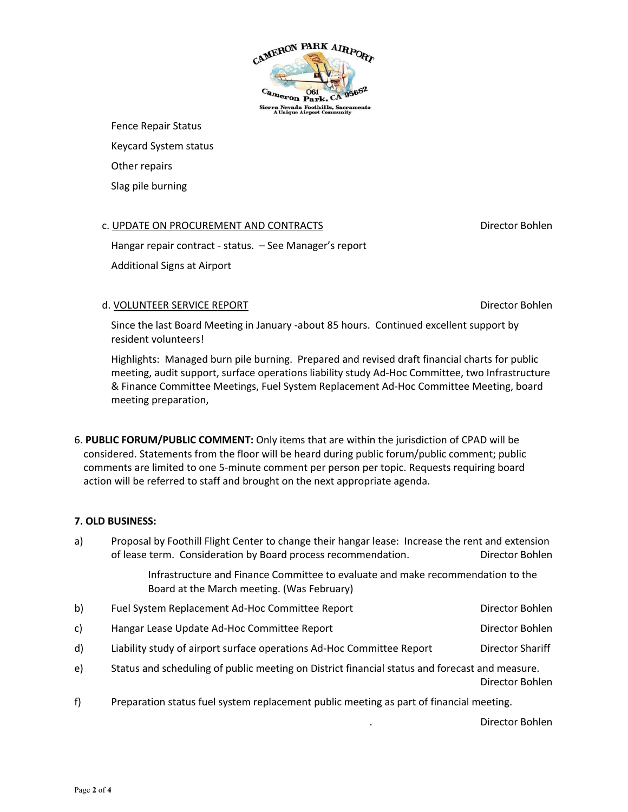

Fence Repair Status

Keycard System status

Other repairs

Slag pile burning

## c. UPDATE ON PROCUREMENT AND CONTRACTS Director Bohlen

Hangar repair contract - status. – See Manager's report Additional Signs at Airport

#### d. VOLUNTEER SERVICE REPORT DIRECTOR DIRECTOR DIRECTOR DIRECTOR BOHLEN

Since the last Board Meeting in January -about 85 hours. Continued excellent support by resident volunteers!

Highlights: Managed burn pile burning. Prepared and revised draft financial charts for public meeting, audit support, surface operations liability study Ad-Hoc Committee, two Infrastructure & Finance Committee Meetings, Fuel System Replacement Ad-Hoc Committee Meeting, board meeting preparation,

6. **PUBLIC FORUM/PUBLIC COMMENT:** Only items that are within the jurisdiction of CPAD will be considered. Statements from the floor will be heard during public forum/public comment; public comments are limited to one 5-minute comment per person per topic. Requests requiring board action will be referred to staff and brought on the next appropriate agenda.

#### **7. OLD BUSINESS:**

| a) | Proposal by Foothill Flight Center to change their hangar lease: Increase the rent and extension<br>of lease term. Consideration by Board process recommendation. | Director Bohlen  |
|----|-------------------------------------------------------------------------------------------------------------------------------------------------------------------|------------------|
|    | Infrastructure and Finance Committee to evaluate and make recommendation to the<br>Board at the March meeting. (Was February)                                     |                  |
| b) | Fuel System Replacement Ad-Hoc Committee Report                                                                                                                   | Director Bohlen  |
| c) | Hangar Lease Update Ad-Hoc Committee Report                                                                                                                       | Director Bohlen  |
| d) | Liability study of airport surface operations Ad-Hoc Committee Report                                                                                             | Director Shariff |
| e) | Status and scheduling of public meeting on District financial status and forecast and measure.<br>Director Bohlen                                                 |                  |
| f) | Preparation status fuel system replacement public meeting as part of financial meeting.                                                                           |                  |

. Director Bohlen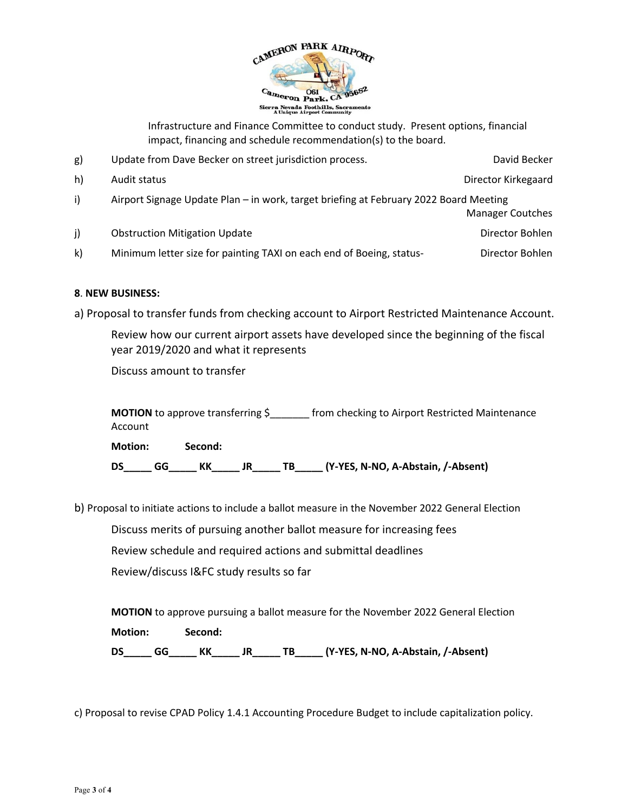

Infrastructure and Finance Committee to conduct study. Present options, financial impact, financing and schedule recommendation(s) to the board.

| g)           | Update from Dave Becker on street jurisdiction process.                                                          | David Becker        |
|--------------|------------------------------------------------------------------------------------------------------------------|---------------------|
| h)           | Audit status                                                                                                     | Director Kirkegaard |
| i)           | Airport Signage Update Plan - in work, target briefing at February 2022 Board Meeting<br><b>Manager Coutches</b> |                     |
| j)           | <b>Obstruction Mitigation Update</b>                                                                             | Director Bohlen     |
| $\mathsf{k}$ | Minimum letter size for painting TAXI on each end of Boeing, status-                                             | Director Bohlen     |

## **8**. **NEW BUSINESS:**

a) Proposal to transfer funds from checking account to Airport Restricted Maintenance Account.

Review how our current airport assets have developed since the beginning of the fiscal year 2019/2020 and what it represents

Discuss amount to transfer

**MOTION** to approve transferring  $\zeta$  from checking to Airport Restricted Maintenance Account **Motion: Second:**

**DS\_\_\_\_\_ GG\_\_\_\_\_ KK\_\_\_\_\_ JR\_\_\_\_\_ TB\_\_\_\_\_ (Y-YES, N-NO, A-Abstain, /-Absent)** 

b) Proposal to initiate actions to include a ballot measure in the November 2022 General Election

Discuss merits of pursuing another ballot measure for increasing fees

Review schedule and required actions and submittal deadlines

Review/discuss I&FC study results so far

**MOTION** to approve pursuing a ballot measure for the November 2022 General Election **Motion: Second: DS\_\_\_\_\_ GG\_\_\_\_\_ KK\_\_\_\_\_ JR\_\_\_\_\_ TB\_\_\_\_\_ (Y-YES, N-NO, A-Abstain, /-Absent)** 

c) Proposal to revise CPAD Policy 1.4.1 Accounting Procedure Budget to include capitalization policy.